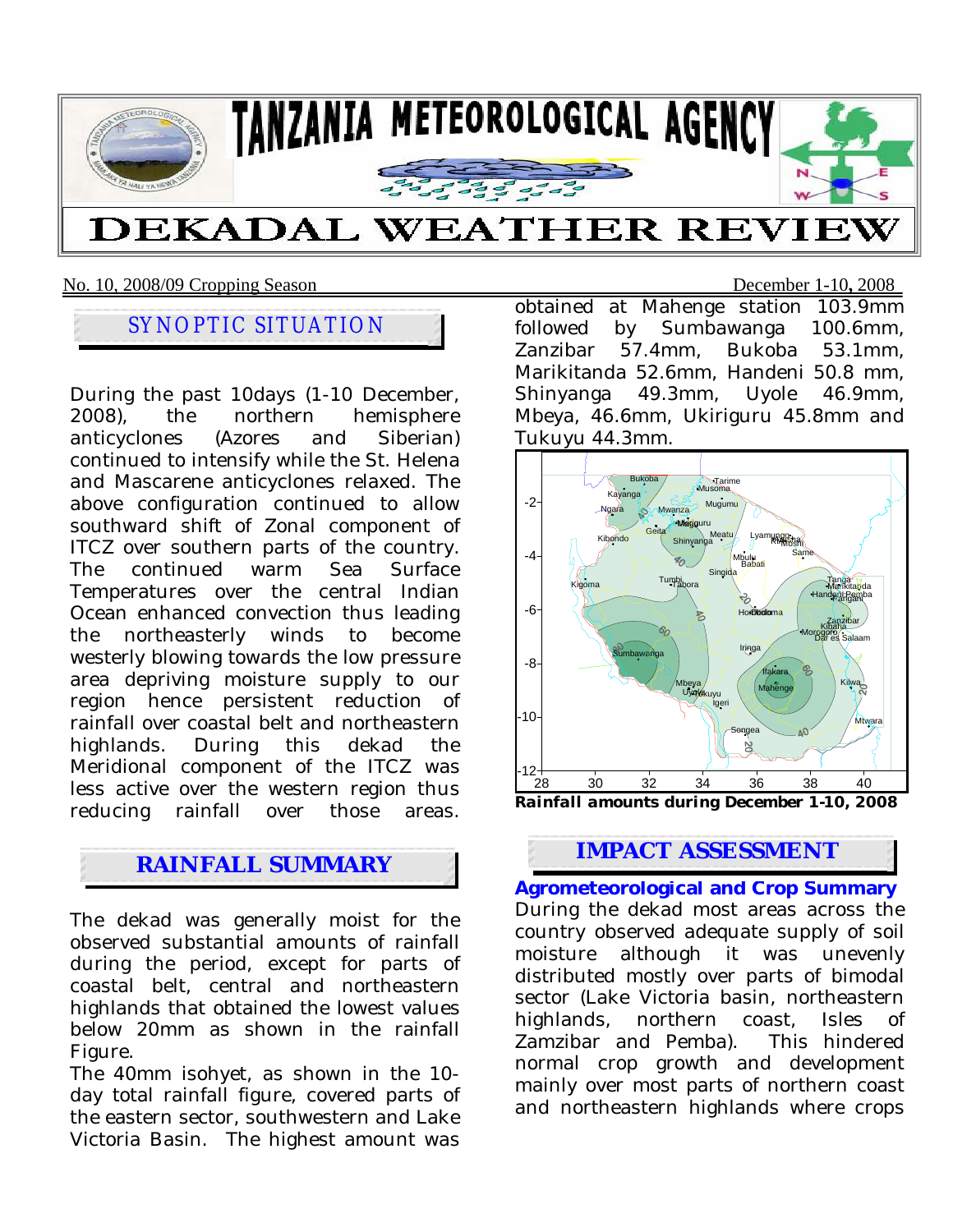

### No. 10, 2008/09 Cropping Season December 1-10**,** 2008

## SYNOPTIC SITUATION

During the past 10days (1-10 December, 2008), the northern hemisphere anticyclones (Azores and Siberian) continued to intensify while the St. Helena and Mascarene anticyclones relaxed. The above configuration continued to allow southward shift of Zonal component of ITCZ over southern parts of the country. The continued warm Sea Surface Temperatures over the central Indian Ocean enhanced convection thus leading the northeasterly winds to become westerly blowing towards the low pressure area depriving moisture supply to our region hence persistent reduction of rainfall over coastal belt and northeastern highlands. During this dekad the Meridional component of the ITCZ was less active over the western region thus reducing rainfall over those areas.

The dekad was generally moist for the observed substantial amounts of rainfall during the period, except for parts of coastal belt, central and northeastern highlands that obtained the lowest values below 20mm as shown in the rainfall Figure.

The 40mm isohyet, as shown in the 10 day total rainfall figure, covered parts of the eastern sector, southwestern and Lake Victoria Basin. The highest amount was obtained at Mahenge station 103.9mm followed by Sumbawanga 100.6mm, Zanzibar 57.4mm, Bukoba 53.1mm, Marikitanda 52.6mm, Handeni 50.8 mm, Shinyanga 49.3mm, Uyole 46.9mm, Mbeya, 46.6mm, Ukiriguru 45.8mm and Tukuyu 44.3mm.



# **IMPACT ASSESSMENT**

**Agrometeorological and Crop Summary** During the dekad most areas across the country observed adequate supply of soil moisture although it was unevenly distributed mostly over parts of bimodal sector (Lake Victoria basin, northeastern highlands, northern coast, Isles of Zamzibar and Pemba). This hindered normal crop growth and development mainly over most parts of northern coast and northeastern highlands where crops